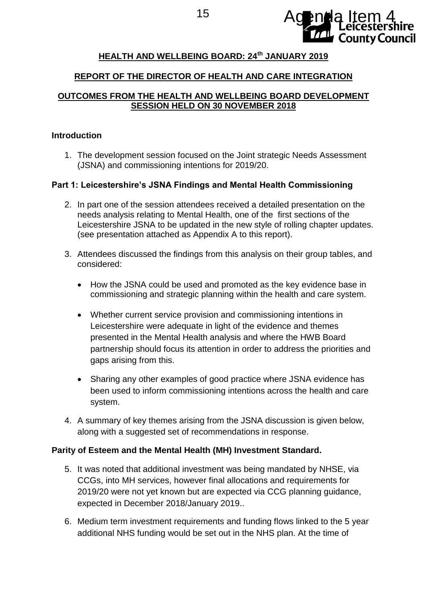

# 15 **Agenda Item 4 County Council**

# **HEALTH AND WELLBEING BOARD: 24th JANUARY 2019**

# **REPORT OF THE DIRECTOR OF HEALTH AND CARE INTEGRATION**

# **OUTCOMES FROM THE HEALTH AND WELLBEING BOARD DEVELOPMENT SESSION HELD ON 30 NOVEMBER 2018**

#### **Introduction**

1. The development session focused on the Joint strategic Needs Assessment (JSNA) and commissioning intentions for 2019/20.

# **Part 1: Leicestershire's JSNA Findings and Mental Health Commissioning**

- 2. In part one of the session attendees received a detailed presentation on the needs analysis relating to Mental Health, one of the first sections of the Leicestershire JSNA to be updated in the new style of rolling chapter updates. (see presentation attached as Appendix A to this report).
- 3. Attendees discussed the findings from this analysis on their group tables, and considered:
	- How the JSNA could be used and promoted as the key evidence base in commissioning and strategic planning within the health and care system.
	- Whether current service provision and commissioning intentions in Leicestershire were adequate in light of the evidence and themes presented in the Mental Health analysis and where the HWB Board partnership should focus its attention in order to address the priorities and gaps arising from this.
	- Sharing any other examples of good practice where JSNA evidence has been used to inform commissioning intentions across the health and care system.
- 4. A summary of key themes arising from the JSNA discussion is given below, along with a suggested set of recommendations in response.

# **Parity of Esteem and the Mental Health (MH) Investment Standard.**

- 5. It was noted that additional investment was being mandated by NHSE, via CCGs, into MH services, however final allocations and requirements for 2019/20 were not yet known but are expected via CCG planning guidance, expected in December 2018/January 2019..
- 6. Medium term investment requirements and funding flows linked to the 5 year additional NHS funding would be set out in the NHS plan. At the time of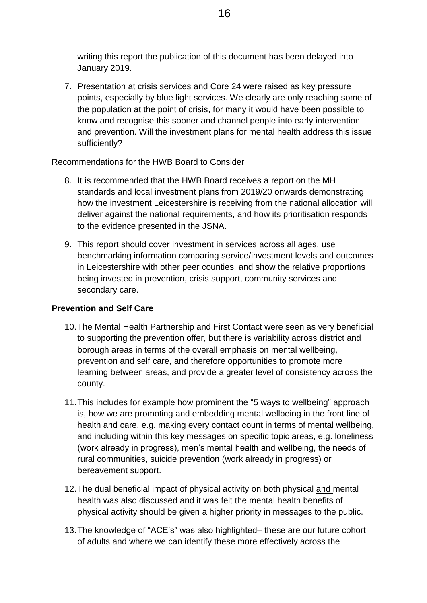writing this report the publication of this document has been delayed into January 2019.

7. Presentation at crisis services and Core 24 were raised as key pressure points, especially by blue light services. We clearly are only reaching some of the population at the point of crisis, for many it would have been possible to know and recognise this sooner and channel people into early intervention and prevention. Will the investment plans for mental health address this issue sufficiently?

#### Recommendations for the HWB Board to Consider

- 8. It is recommended that the HWB Board receives a report on the MH standards and local investment plans from 2019/20 onwards demonstrating how the investment Leicestershire is receiving from the national allocation will deliver against the national requirements, and how its prioritisation responds to the evidence presented in the JSNA.
- 9. This report should cover investment in services across all ages, use benchmarking information comparing service/investment levels and outcomes in Leicestershire with other peer counties, and show the relative proportions being invested in prevention, crisis support, community services and secondary care.

# **Prevention and Self Care**

- 10.The Mental Health Partnership and First Contact were seen as very beneficial to supporting the prevention offer, but there is variability across district and borough areas in terms of the overall emphasis on mental wellbeing, prevention and self care, and therefore opportunities to promote more learning between areas, and provide a greater level of consistency across the county.
- 11.This includes for example how prominent the "5 ways to wellbeing" approach is, how we are promoting and embedding mental wellbeing in the front line of health and care, e.g. making every contact count in terms of mental wellbeing, and including within this key messages on specific topic areas, e.g. loneliness (work already in progress), men's mental health and wellbeing, the needs of rural communities, suicide prevention (work already in progress) or bereavement support.
- 12.The dual beneficial impact of physical activity on both physical and mental health was also discussed and it was felt the mental health benefits of physical activity should be given a higher priority in messages to the public.
- 13.The knowledge of "ACE's" was also highlighted– these are our future cohort of adults and where we can identify these more effectively across the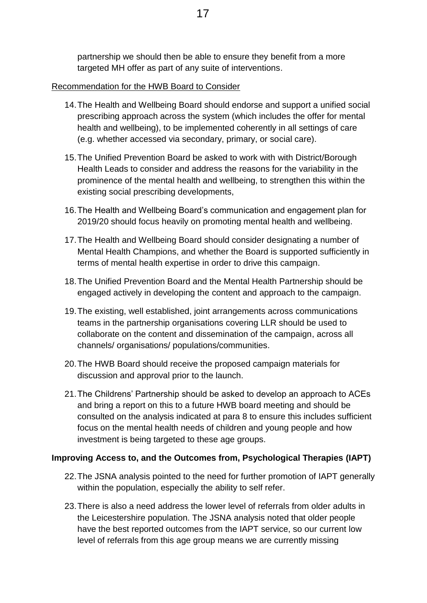# Recommendation for the HWB Board to Consider

- 14.The Health and Wellbeing Board should endorse and support a unified social prescribing approach across the system (which includes the offer for mental health and wellbeing), to be implemented coherently in all settings of care (e.g. whether accessed via secondary, primary, or social care).
- 15.The Unified Prevention Board be asked to work with with District/Borough Health Leads to consider and address the reasons for the variability in the prominence of the mental health and wellbeing, to strengthen this within the existing social prescribing developments,
- 16.The Health and Wellbeing Board's communication and engagement plan for 2019/20 should focus heavily on promoting mental health and wellbeing.
- 17.The Health and Wellbeing Board should consider designating a number of Mental Health Champions, and whether the Board is supported sufficiently in terms of mental health expertise in order to drive this campaign.
- 18.The Unified Prevention Board and the Mental Health Partnership should be engaged actively in developing the content and approach to the campaign.
- 19.The existing, well established, joint arrangements across communications teams in the partnership organisations covering LLR should be used to collaborate on the content and dissemination of the campaign, across all channels/ organisations/ populations/communities.
- 20.The HWB Board should receive the proposed campaign materials for discussion and approval prior to the launch.
- 21.The Childrens' Partnership should be asked to develop an approach to ACEs and bring a report on this to a future HWB board meeting and should be consulted on the analysis indicated at para 8 to ensure this includes sufficient focus on the mental health needs of children and young people and how investment is being targeted to these age groups.

# **Improving Access to, and the Outcomes from, Psychological Therapies (IAPT)**

- 22.The JSNA analysis pointed to the need for further promotion of IAPT generally within the population, especially the ability to self refer.
- 23.There is also a need address the lower level of referrals from older adults in the Leicestershire population. The JSNA analysis noted that older people have the best reported outcomes from the IAPT service, so our current low level of referrals from this age group means we are currently missing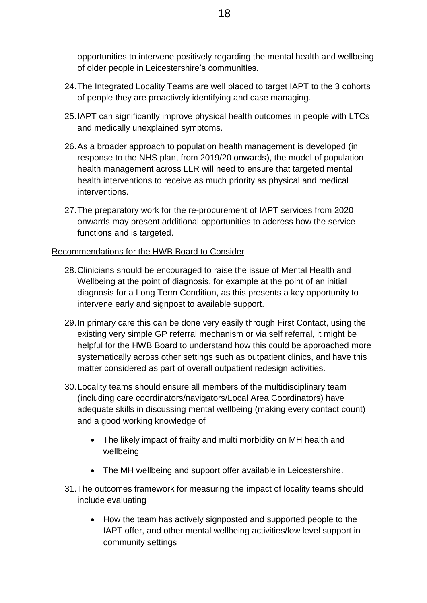opportunities to intervene positively regarding the mental health and wellbeing of older people in Leicestershire's communities.

- 24.The Integrated Locality Teams are well placed to target IAPT to the 3 cohorts of people they are proactively identifying and case managing.
- 25.IAPT can significantly improve physical health outcomes in people with LTCs and medically unexplained symptoms.
- 26.As a broader approach to population health management is developed (in response to the NHS plan, from 2019/20 onwards), the model of population health management across LLR will need to ensure that targeted mental health interventions to receive as much priority as physical and medical interventions.
- 27.The preparatory work for the re-procurement of IAPT services from 2020 onwards may present additional opportunities to address how the service functions and is targeted.

#### Recommendations for the HWB Board to Consider

- 28.Clinicians should be encouraged to raise the issue of Mental Health and Wellbeing at the point of diagnosis, for example at the point of an initial diagnosis for a Long Term Condition, as this presents a key opportunity to intervene early and signpost to available support.
- 29.In primary care this can be done very easily through First Contact, using the existing very simple GP referral mechanism or via self referral, it might be helpful for the HWB Board to understand how this could be approached more systematically across other settings such as outpatient clinics, and have this matter considered as part of overall outpatient redesign activities.
- 30.Locality teams should ensure all members of the multidisciplinary team (including care coordinators/navigators/Local Area Coordinators) have adequate skills in discussing mental wellbeing (making every contact count) and a good working knowledge of
	- The likely impact of frailty and multi morbidity on MH health and wellbeing
	- The MH wellbeing and support offer available in Leicestershire.
- 31.The outcomes framework for measuring the impact of locality teams should include evaluating
	- How the team has actively signposted and supported people to the IAPT offer, and other mental wellbeing activities/low level support in community settings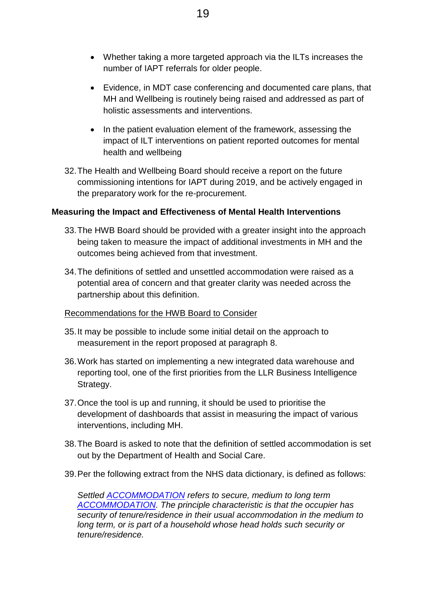- Whether taking a more targeted approach via the ILTs increases the number of IAPT referrals for older people.
- Evidence, in MDT case conferencing and documented care plans, that MH and Wellbeing is routinely being raised and addressed as part of holistic assessments and interventions.
- In the patient evaluation element of the framework, assessing the impact of ILT interventions on patient reported outcomes for mental health and wellbeing
- 32.The Health and Wellbeing Board should receive a report on the future commissioning intentions for IAPT during 2019, and be actively engaged in the preparatory work for the re-procurement.

#### **Measuring the Impact and Effectiveness of Mental Health Interventions**

- 33.The HWB Board should be provided with a greater insight into the approach being taken to measure the impact of additional investments in MH and the outcomes being achieved from that investment.
- 34.The definitions of settled and unsettled accommodation were raised as a potential area of concern and that greater clarity was needed across the partnership about this definition.

#### Recommendations for the HWB Board to Consider

- 35.It may be possible to include some initial detail on the approach to measurement in the report proposed at paragraph 8.
- 36.Work has started on implementing a new integrated data warehouse and reporting tool, one of the first priorities from the LLR Business Intelligence Strategy.
- 37.Once the tool is up and running, it should be used to prioritise the development of dashboards that assist in measuring the impact of various interventions, including MH.
- 38.The Board is asked to note that the definition of settled accommodation is set out by the Department of Health and Social Care.
- 39.Per the following extract from the NHS data dictionary, is defined as follows:

*Settled [ACCOMMODATION](https://www.datadictionary.nhs.uk/data_dictionary/classes/a/accommodation_de.asp?shownav=1) refers to secure, medium to long term [ACCOMMODATION.](https://www.datadictionary.nhs.uk/data_dictionary/classes/a/accommodation_de.asp?shownav=1) The principle characteristic is that the occupier has security of tenure/residence in their usual accommodation in the medium to long term, or is part of a household whose head holds such security or tenure/residence.*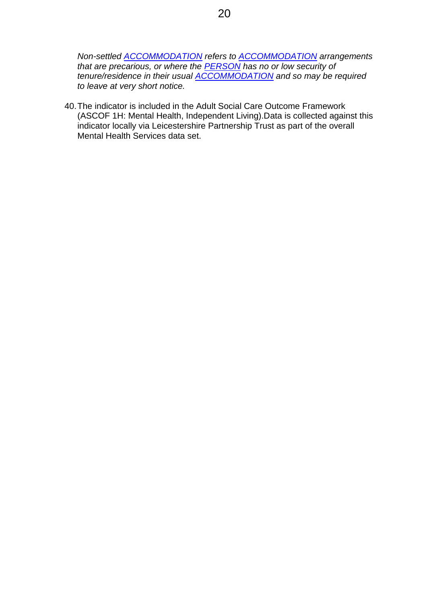*Non-settled [ACCOMMODATION](https://www.datadictionary.nhs.uk/data_dictionary/classes/a/accommodation_de.asp?shownav=1) refers to [ACCOMMODATION](https://www.datadictionary.nhs.uk/data_dictionary/classes/a/accommodation_de.asp?shownav=1) arrangements that are precarious, or where the [PERSON](https://www.datadictionary.nhs.uk/data_dictionary/classes/p/person_de.asp?shownav=1) has no or low security of tenure/residence in their usual [ACCOMMODATION](https://www.datadictionary.nhs.uk/data_dictionary/classes/a/accommodation_de.asp?shownav=1) and so may be required to leave at very short notice.*

40.The indicator is included in the Adult Social Care Outcome Framework (ASCOF 1H: Mental Health, Independent Living).Data is collected against this indicator locally via Leicestershire Partnership Trust as part of the overall Mental Health Services data set.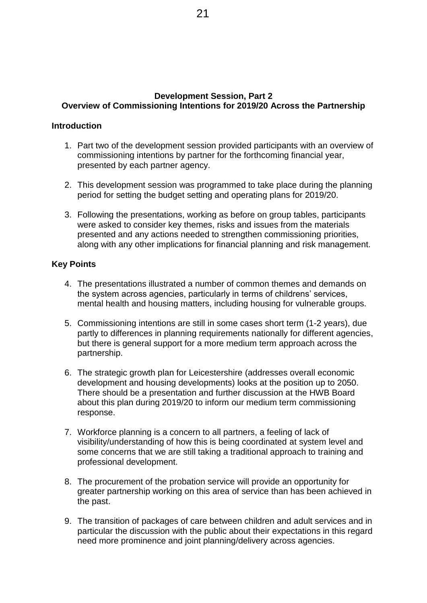#### **Development Session, Part 2 Overview of Commissioning Intentions for 2019/20 Across the Partnership**

#### **Introduction**

- 1. Part two of the development session provided participants with an overview of commissioning intentions by partner for the forthcoming financial year, presented by each partner agency.
- 2. This development session was programmed to take place during the planning period for setting the budget setting and operating plans for 2019/20.
- 3. Following the presentations, working as before on group tables, participants were asked to consider key themes, risks and issues from the materials presented and any actions needed to strengthen commissioning priorities, along with any other implications for financial planning and risk management.

#### **Key Points**

- 4. The presentations illustrated a number of common themes and demands on the system across agencies, particularly in terms of childrens' services, mental health and housing matters, including housing for vulnerable groups.
- 5. Commissioning intentions are still in some cases short term (1-2 years), due partly to differences in planning requirements nationally for different agencies, but there is general support for a more medium term approach across the partnership.
- 6. The strategic growth plan for Leicestershire (addresses overall economic development and housing developments) looks at the position up to 2050. There should be a presentation and further discussion at the HWB Board about this plan during 2019/20 to inform our medium term commissioning response.
- 7. Workforce planning is a concern to all partners, a feeling of lack of visibility/understanding of how this is being coordinated at system level and some concerns that we are still taking a traditional approach to training and professional development.
- 8. The procurement of the probation service will provide an opportunity for greater partnership working on this area of service than has been achieved in the past.
- 9. The transition of packages of care between children and adult services and in particular the discussion with the public about their expectations in this regard need more prominence and joint planning/delivery across agencies.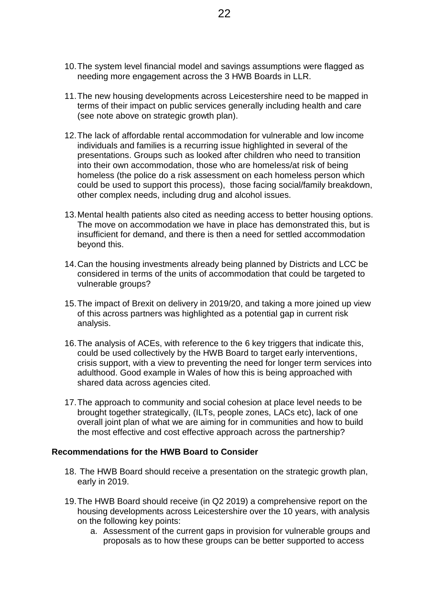- 10.The system level financial model and savings assumptions were flagged as needing more engagement across the 3 HWB Boards in LLR.
- 11.The new housing developments across Leicestershire need to be mapped in terms of their impact on public services generally including health and care (see note above on strategic growth plan).
- 12.The lack of affordable rental accommodation for vulnerable and low income individuals and families is a recurring issue highlighted in several of the presentations. Groups such as looked after children who need to transition into their own accommodation, those who are homeless/at risk of being homeless (the police do a risk assessment on each homeless person which could be used to support this process), those facing social/family breakdown, other complex needs, including drug and alcohol issues.
- 13.Mental health patients also cited as needing access to better housing options. The move on accommodation we have in place has demonstrated this, but is insufficient for demand, and there is then a need for settled accommodation beyond this.
- 14.Can the housing investments already being planned by Districts and LCC be considered in terms of the units of accommodation that could be targeted to vulnerable groups?
- 15.The impact of Brexit on delivery in 2019/20, and taking a more joined up view of this across partners was highlighted as a potential gap in current risk analysis.
- 16.The analysis of ACEs, with reference to the 6 key triggers that indicate this, could be used collectively by the HWB Board to target early interventions, crisis support, with a view to preventing the need for longer term services into adulthood. Good example in Wales of how this is being approached with shared data across agencies cited.
- 17.The approach to community and social cohesion at place level needs to be brought together strategically, (ILTs, people zones, LACs etc), lack of one overall joint plan of what we are aiming for in communities and how to build the most effective and cost effective approach across the partnership?

#### **Recommendations for the HWB Board to Consider**

- 18. The HWB Board should receive a presentation on the strategic growth plan, early in 2019.
- 19.The HWB Board should receive (in Q2 2019) a comprehensive report on the housing developments across Leicestershire over the 10 years, with analysis on the following key points:
	- a. Assessment of the current gaps in provision for vulnerable groups and proposals as to how these groups can be better supported to access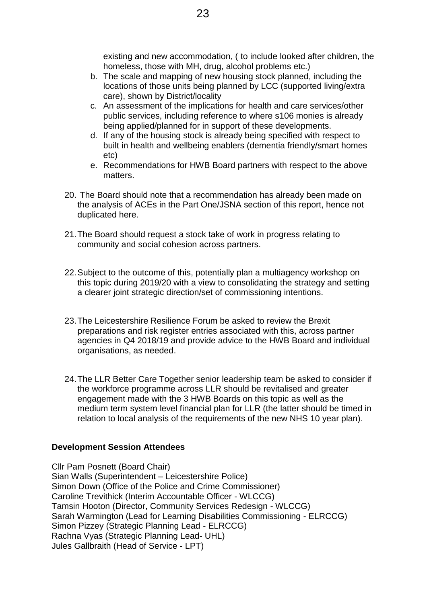- b. The scale and mapping of new housing stock planned, including the locations of those units being planned by LCC (supported living/extra care), shown by District/locality
- c. An assessment of the implications for health and care services/other public services, including reference to where s106 monies is already being applied/planned for in support of these developments.
- d. If any of the housing stock is already being specified with respect to built in health and wellbeing enablers (dementia friendly/smart homes etc)
- e. Recommendations for HWB Board partners with respect to the above matters.
- 20. The Board should note that a recommendation has already been made on the analysis of ACEs in the Part One/JSNA section of this report, hence not duplicated here.
- 21.The Board should request a stock take of work in progress relating to community and social cohesion across partners.
- 22.Subject to the outcome of this, potentially plan a multiagency workshop on this topic during 2019/20 with a view to consolidating the strategy and setting a clearer joint strategic direction/set of commissioning intentions.
- 23.The Leicestershire Resilience Forum be asked to review the Brexit preparations and risk register entries associated with this, across partner agencies in Q4 2018/19 and provide advice to the HWB Board and individual organisations, as needed.
- 24.The LLR Better Care Together senior leadership team be asked to consider if the workforce programme across LLR should be revitalised and greater engagement made with the 3 HWB Boards on this topic as well as the medium term system level financial plan for LLR (the latter should be timed in relation to local analysis of the requirements of the new NHS 10 year plan).

#### **Development Session Attendees**

Cllr Pam Posnett (Board Chair) Sian Walls (Superintendent – Leicestershire Police) Simon Down (Office of the Police and Crime Commissioner) Caroline Trevithick (Interim Accountable Officer - WLCCG) Tamsin Hooton (Director, Community Services Redesign - WLCCG) Sarah Warmington (Lead for Learning Disabilities Commissioning - ELRCCG) Simon Pizzey (Strategic Planning Lead - ELRCCG) Rachna Vyas (Strategic Planning Lead- UHL) Jules Gallbraith (Head of Service - LPT)